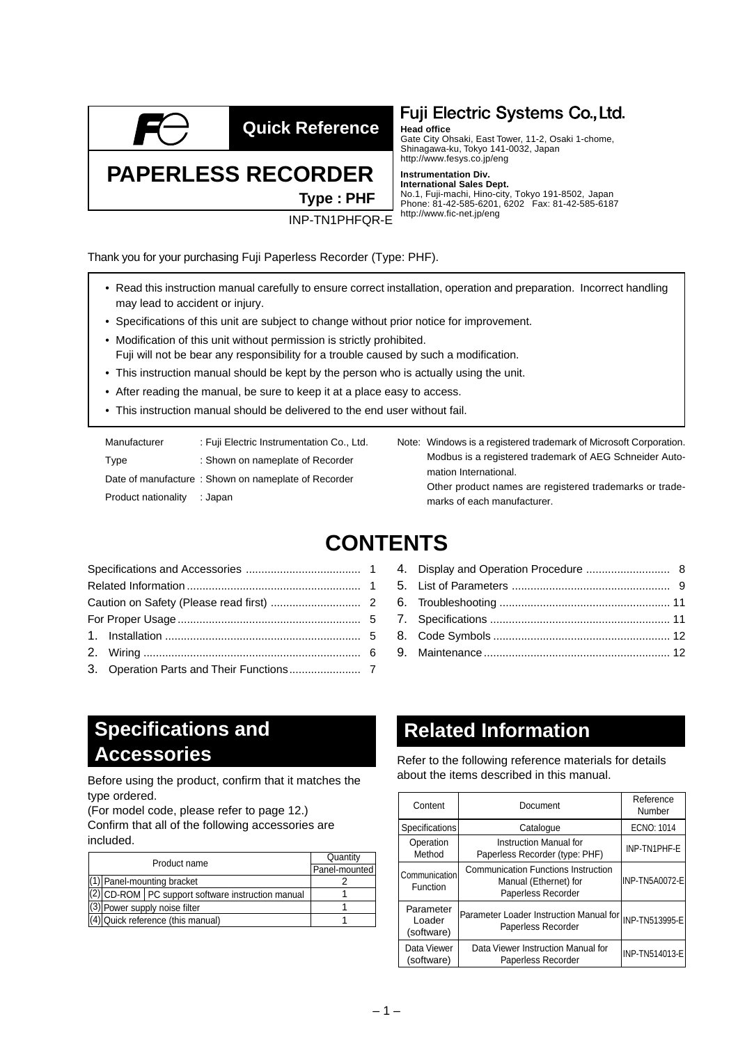

**Quick Reference**

### Fuji Electric Systems Co., Ltd.

**Head office**

Gate City Ohsaki, East Tower, 11-2, Osaki 1-chome, Shinagawa-ku, Tokyo 141-0032, Japan http://www.fesys.co.jp/eng

#### **Instrumentation Div.**

**International Sales Dept.** No.1, Fuji-machi, Hino-city, Tokyo 191-8502, Japan Phone: 81-42-585-6201, 6202 Fax: 81-42-585-6187 http://www.fic-net.jp/eng

Thank you for your purchasing Fuji Paperless Recorder (Type: PHF).

**PAPERLESS RECORDER**

- Read this instruction manual carefully to ensure correct installation, operation and preparation. Incorrect handling may lead to accident or injury.
- Specifications of this unit are subject to change without prior notice for improvement.

INP-TN1PHFQR-E

**Type : PHF**

- Modification of this unit without permission is strictly prohibited.
- Fuji will not be bear any responsibility for a trouble caused by such a modification.
- This instruction manual should be kept by the person who is actually using the unit.
- After reading the manual, be sure to keep it at a place easy to access.
- This instruction manual should be delivered to the end user without fail.

| Manufacturer        | : Fuji Electric Instrumentation Co., Ltd.           |
|---------------------|-----------------------------------------------------|
| Type                | : Shown on nameplate of Recorder                    |
|                     | Date of manufacture: Shown on nameplate of Recorder |
| Product nationality | : Japan                                             |

Note: Windows is a registered trademark of Microsoft Corporation. Modbus is a registered trademark of AEG Schneider Automation International. Other product names are registered trademarks or trademarks of each manufacturer.

4. [Display and Operation Procedure ........................... 8](#page-7-0) 5. [List of Parameters ................................................... 9](#page-8-0) 6. [Troubleshooting ....................................................... 11](#page-10-0) 7. Specifications .......................................................... 11 8. Code Symbols ......................................................... 12 9. [Maintenance ............................................................ 12](#page-11-0)

### **CONTENTS**

# **Related Information**

Refer to the following reference materials for details

| Content                           | Document                                                                                  | Reference<br>Number |
|-----------------------------------|-------------------------------------------------------------------------------------------|---------------------|
| Specifications                    | Catalogue                                                                                 | ECNO: 1014          |
| Operation<br>Method               | Instruction Manual for<br>Paperless Recorder (type: PHF)                                  | INP-TN1PHF-E        |
| Communication<br>Function         | <b>Communication Functions Instruction</b><br>Manual (Ethernet) for<br>Paperless Recorder | INP-TN5A0072-E      |
| Parameter<br>Loader<br>(software) | Parameter Loader Instruction Manual for<br>Paperless Recorder                             | INP-TN513995-E      |
| Data Viewer<br>(software)         | Data Viewer Instruction Manual for<br>Paperless Recorder                                  | INP-TN514013-E      |

### **Specifications and Accessories**

about the items described in this manual. Before using the product, confirm that it matches the type ordered.

(For model code, please refer to page 12.) Confirm that all of the following accessories are

included.

| Product name                          |                                                     |               | Quantity |  |
|---------------------------------------|-----------------------------------------------------|---------------|----------|--|
|                                       |                                                     | Panel-mounted |          |  |
|                                       | (1) Panel-mounting bracket                          |               |          |  |
|                                       | (2) CD-ROM   PC support software instruction manual |               |          |  |
| $\sqrt{3}$ Power supply noise filter  |                                                     |               |          |  |
| $ (4) $ Quick reference (this manual) |                                                     |               |          |  |
|                                       |                                                     |               |          |  |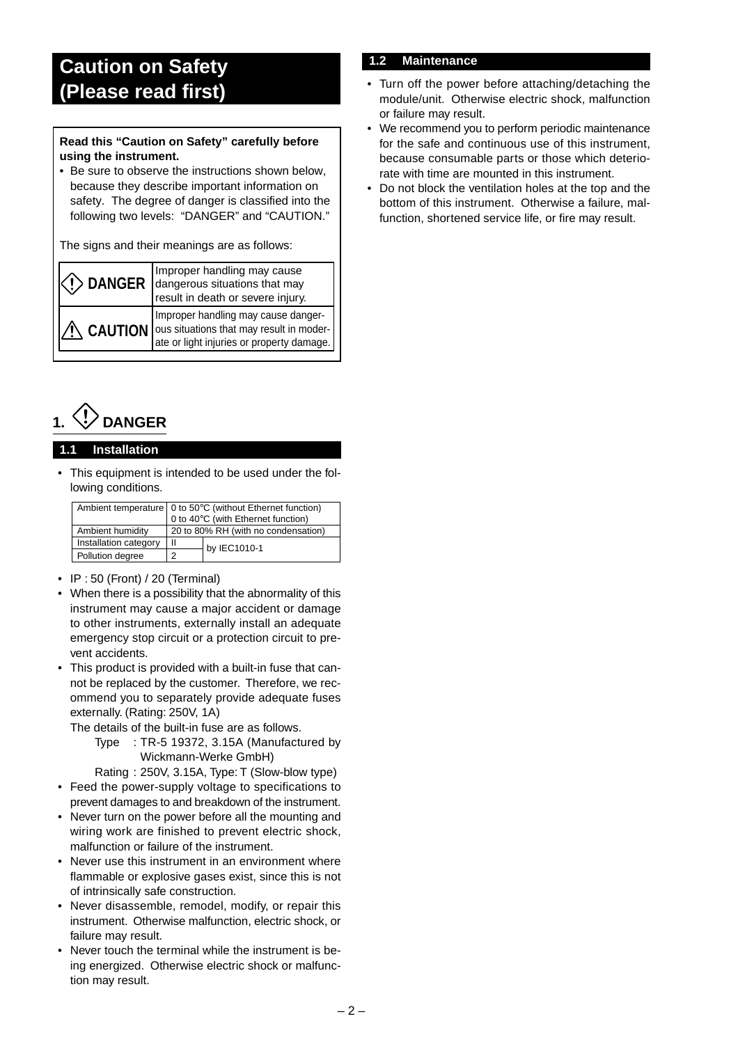### <span id="page-1-0"></span>**Caution on Safety (Please read first)**

#### **Read this "Caution on Safety" carefully before using the instrument.**

• Be sure to observe the instructions shown below, because they describe important information on safety. The degree of danger is classified into the following two levels: "DANGER" and "CAUTION."

The signs and their meanings are as follows:

| <b>DANGER</b> Improper handling may cause<br><b>DANGER</b> dangerous situations that may<br>result in death or severe injury.                                                                                                 |  |
|-------------------------------------------------------------------------------------------------------------------------------------------------------------------------------------------------------------------------------|--|
| CAUTION THE STANDARD ON SITUATION THE STANDARD ON SITUATION THE STANDARD ON THE STANDARD ON THE STANDARD ON THE STANDARD STANDARD THE STANDARD ON THE STANDARD STANDARD STANDARD STANDARD STANDARD STANDARD STANDARD STANDARD |  |



#### **1.1 Installation**

This equipment is intended to be used under the following conditions.

|                       | Ambient temperature   0 to 50°C (without Ethernet function) |                                    |  |
|-----------------------|-------------------------------------------------------------|------------------------------------|--|
|                       |                                                             | 0 to 40°C (with Ethernet function) |  |
| Ambient humidity      | 20 to 80% RH (with no condensation)                         |                                    |  |
| Installation category | $\mathbf{I}$                                                | by IEC1010-1                       |  |
| Pollution degree      | າ                                                           |                                    |  |

- IP : 50 (Front) / 20 (Terminal)
- When there is a possibility that the abnormality of this instrument may cause a major accident or damage to other instruments, externally install an adequate emergency stop circuit or a protection circuit to prevent accidents.
- This product is provided with a built-in fuse that cannot be replaced by the customer. Therefore, we recommend you to separately provide adequate fuses externally. (Rating: 250V, 1A)

The details of the built-in fuse are as follows.

Type : TR-5 19372, 3.15A (Manufactured by Wickmann-Werke GmbH)

Rating : 250V, 3.15A, Type: T (Slow-blow type)

- Feed the power-supply voltage to specifications to prevent damages to and breakdown of the instrument.
- Never turn on the power before all the mounting and wiring work are finished to prevent electric shock, malfunction or failure of the instrument.
- Never use this instrument in an environment where flammable or explosive gases exist, since this is not of intrinsically safe construction.
- Never disassemble, remodel, modify, or repair this instrument. Otherwise malfunction, electric shock, or failure may result.
- Never touch the terminal while the instrument is being energized. Otherwise electric shock or malfunction may result.

### **1.2 Maintenance**

- Turn off the power before attaching/detaching the module/unit. Otherwise electric shock, malfunction or failure may result.
- We recommend you to perform periodic maintenance for the safe and continuous use of this instrument, because consumable parts or those which deteriorate with time are mounted in this instrument.
- Do not block the ventilation holes at the top and the bottom of this instrument. Otherwise a failure, malfunction, shortened service life, or fire may result.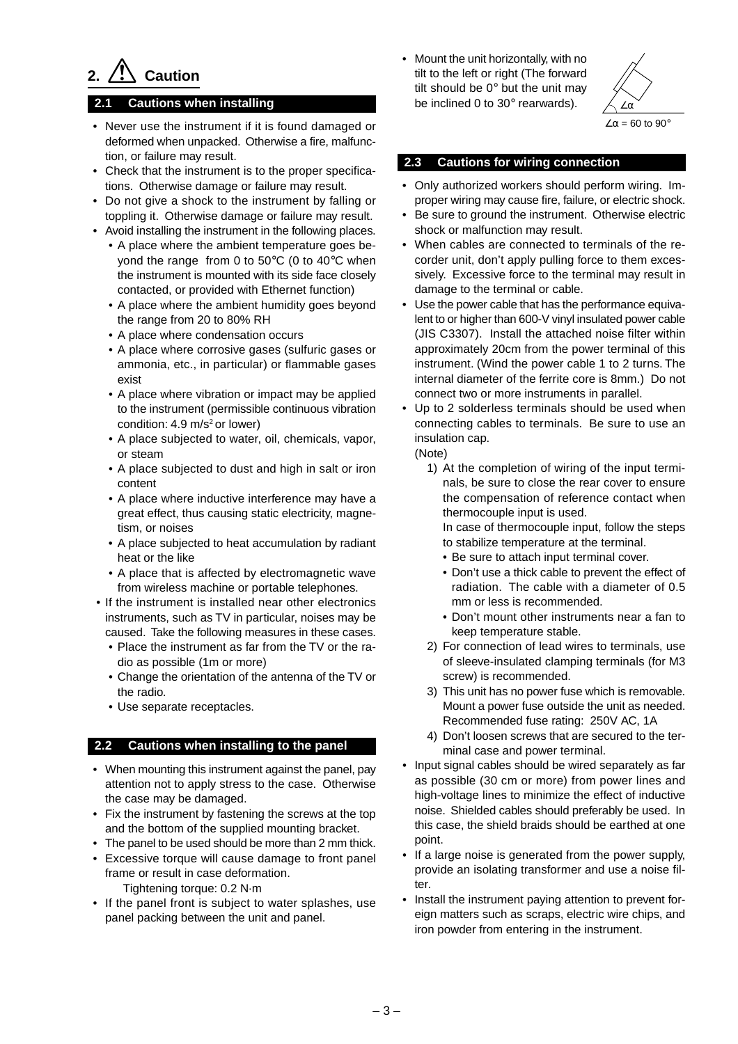## **2. Caution**

#### **2.1 Cautions when installing**

- Never use the instrument if it is found damaged or deformed when unpacked. Otherwise a fire, malfunction, or failure may result.
- Check that the instrument is to the proper specifications. Otherwise damage or failure may result.
- Do not give a shock to the instrument by falling or toppling it. Otherwise damage or failure may result.
- Avoid installing the instrument in the following places.
	- A place where the ambient temperature goes beyond the range from 0 to 50°C (0 to 40°C when the instrument is mounted with its side face closely contacted, or provided with Ethernet function)
	- A place where the ambient humidity goes beyond the range from 20 to 80% RH
	- A place where condensation occurs
	- A place where corrosive gases (sulfuric gases or ammonia, etc., in particular) or flammable gases exist
	- A place where vibration or impact may be applied to the instrument (permissible continuous vibration condition: 4.9 m/s<sup>2</sup> or lower)
	- A place subjected to water, oil, chemicals, vapor, or steam
	- A place subjected to dust and high in salt or iron content
	- A place where inductive interference may have a great effect, thus causing static electricity, magnetism, or noises
	- A place subjected to heat accumulation by radiant heat or the like
	- A place that is affected by electromagnetic wave from wireless machine or portable telephones.
- If the instrument is installed near other electronics instruments, such as TV in particular, noises may be caused. Take the following measures in these cases.
	- Place the instrument as far from the TV or the radio as possible (1m or more)
	- Change the orientation of the antenna of the TV or the radio.
	- Use separate receptacles.

#### **2.2 Cautions when installing to the panel**

- When mounting this instrument against the panel, pay attention not to apply stress to the case. Otherwise the case may be damaged.
- Fix the instrument by fastening the screws at the top and the bottom of the supplied mounting bracket.
- The panel to be used should be more than 2 mm thick.
- Excessive torque will cause damage to front panel frame or result in case deformation. Tightening torque: 0.2 N·m
- If the panel front is subject to water splashes, use panel packing between the unit and panel.

• Mount the unit horizontally, with no tilt to the left or right (The forward tilt should be 0° but the unit may be inclined 0 to 30° rearwards).



#### **2.3 Cautions for wiring connection**

- Only authorized workers should perform wiring. Improper wiring may cause fire, failure, or electric shock.
- Be sure to ground the instrument. Otherwise electric shock or malfunction may result.
- When cables are connected to terminals of the recorder unit, don't apply pulling force to them excessively. Excessive force to the terminal may result in damage to the terminal or cable.
- Use the power cable that has the performance equivalent to or higher than 600-V vinyl insulated power cable (JIS C3307). Install the attached noise filter within approximately 20cm from the power terminal of this instrument. (Wind the power cable 1 to 2 turns. The internal diameter of the ferrite core is 8mm.) Do not connect two or more instruments in parallel.
- Up to 2 solderless terminals should be used when connecting cables to terminals. Be sure to use an insulation cap.

(Note)

1) At the completion of wiring of the input terminals, be sure to close the rear cover to ensure the compensation of reference contact when thermocouple input is used.

In case of thermocouple input, follow the steps to stabilize temperature at the terminal.

- Be sure to attach input terminal cover.
- Don't use a thick cable to prevent the effect of radiation. The cable with a diameter of 0.5 mm or less is recommended.
- Don't mount other instruments near a fan to keep temperature stable.
- 2) For connection of lead wires to terminals, use of sleeve-insulated clamping terminals (for M3 screw) is recommended.
- 3) This unit has no power fuse which is removable. Mount a power fuse outside the unit as needed. Recommended fuse rating: 250V AC, 1A
- 4) Don't loosen screws that are secured to the terminal case and power terminal.
- Input signal cables should be wired separately as far as possible (30 cm or more) from power lines and high-voltage lines to minimize the effect of inductive noise. Shielded cables should preferably be used. In this case, the shield braids should be earthed at one point.
- If a large noise is generated from the power supply, provide an isolating transformer and use a noise filter.
- Install the instrument paying attention to prevent foreign matters such as scraps, electric wire chips, and iron powder from entering in the instrument.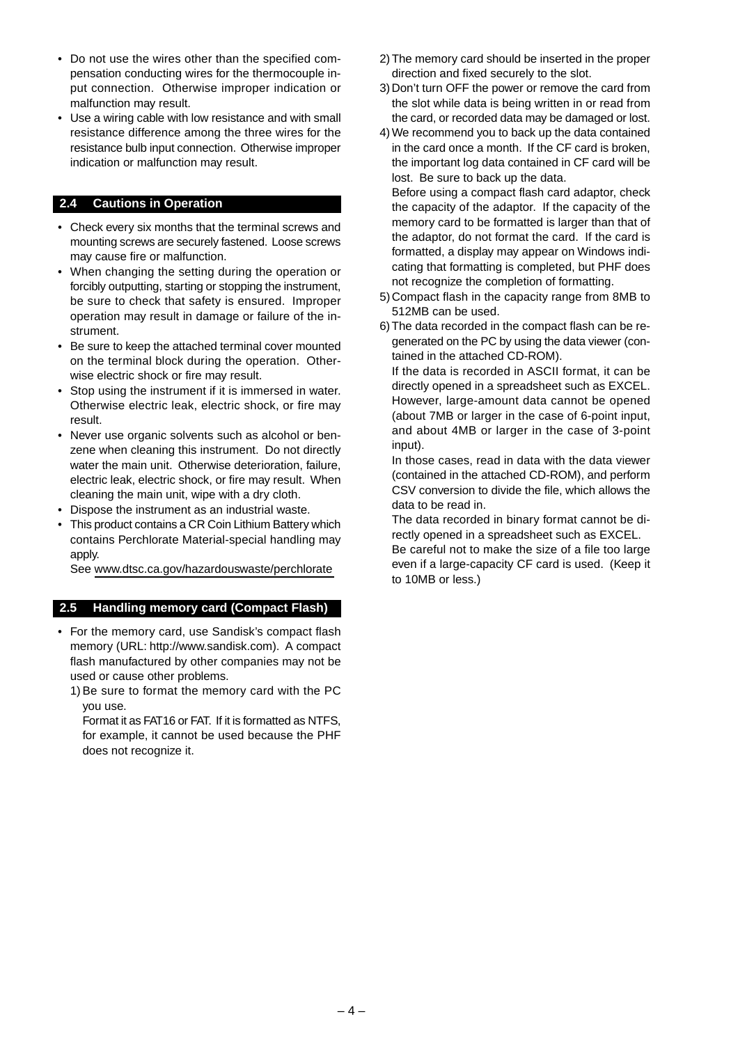- Do not use the wires other than the specified compensation conducting wires for the thermocouple input connection. Otherwise improper indication or malfunction may result.
- Use a wiring cable with low resistance and with small resistance difference among the three wires for the resistance bulb input connection. Otherwise improper indication or malfunction may result.

#### **2.4 Cautions in Operation**

- Check every six months that the terminal screws and mounting screws are securely fastened. Loose screws may cause fire or malfunction.
- When changing the setting during the operation or forcibly outputting, starting or stopping the instrument, be sure to check that safety is ensured. Improper operation may result in damage or failure of the instrument.
- Be sure to keep the attached terminal cover mounted on the terminal block during the operation. Otherwise electric shock or fire may result.
- Stop using the instrument if it is immersed in water. Otherwise electric leak, electric shock, or fire may result.
- Never use organic solvents such as alcohol or benzene when cleaning this instrument. Do not directly water the main unit. Otherwise deterioration, failure, electric leak, electric shock, or fire may result. When cleaning the main unit, wipe with a dry cloth.
- Dispose the instrument as an industrial waste.
- This product contains a CR Coin Lithium Battery which contains Perchlorate Material-special handling may apply.

See www.dtsc.ca.gov/hazardouswaste/perchlorate

#### **2.5 Handling memory card (Compact Flash)**

• For the memory card, use Sandisk's compact flash memory (URL: http://www.sandisk.com). A compact flash manufactured by other companies may not be used or cause other problems.

1)Be sure to format the memory card with the PC you use.

Format it as FAT16 or FAT. If it is formatted as NTFS, for example, it cannot be used because the PHF does not recognize it.

- 2)The memory card should be inserted in the proper direction and fixed securely to the slot.
- 3) Don't turn OFF the power or remove the card from the slot while data is being written in or read from the card, or recorded data may be damaged or lost.
- 4)We recommend you to back up the data contained in the card once a month. If the CF card is broken, the important log data contained in CF card will be lost. Be sure to back up the data.

Before using a compact flash card adaptor, check the capacity of the adaptor. If the capacity of the memory card to be formatted is larger than that of the adaptor, do not format the card. If the card is formatted, a display may appear on Windows indicating that formatting is completed, but PHF does not recognize the completion of formatting.

- 5) Compact flash in the capacity range from 8MB to 512MB can be used.
- 6) The data recorded in the compact flash can be regenerated on the PC by using the data viewer (contained in the attached CD-ROM).

If the data is recorded in ASCII format, it can be directly opened in a spreadsheet such as EXCEL. However, large-amount data cannot be opened (about 7MB or larger in the case of 6-point input, and about 4MB or larger in the case of 3-point input).

In those cases, read in data with the data viewer (contained in the attached CD-ROM), and perform CSV conversion to divide the file, which allows the data to be read in.

The data recorded in binary format cannot be directly opened in a spreadsheet such as EXCEL.

Be careful not to make the size of a file too large even if a large-capacity CF card is used. (Keep it to 10MB or less.)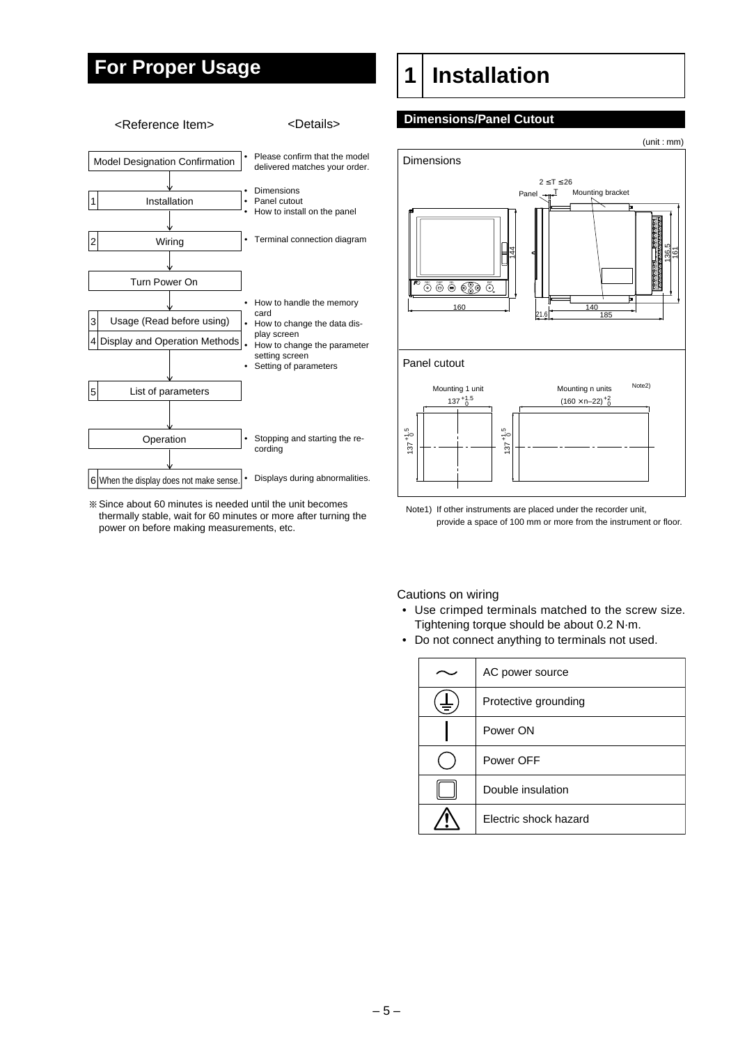### <span id="page-4-0"></span>**For Proper Usage**



Since about 60 minutes is needed until the unit becomes thermally stable, wait for 60 minutes or more after turning the power on before making measurements, etc.

### **1 Installation**

#### **Dimensions/Panel Cutout**



Note1) If other instruments are placed under the recorder unit, provide a space of 100 mm or more from the instrument or floor.

Cautions on wiring

- Use crimped terminals matched to the screw size. Tightening torque should be about 0.2 N·m.
- Do not connect anything to terminals not used.

| AC power source       |
|-----------------------|
| Protective grounding  |
| Power ON              |
| Power OFF             |
| Double insulation     |
| Electric shock hazard |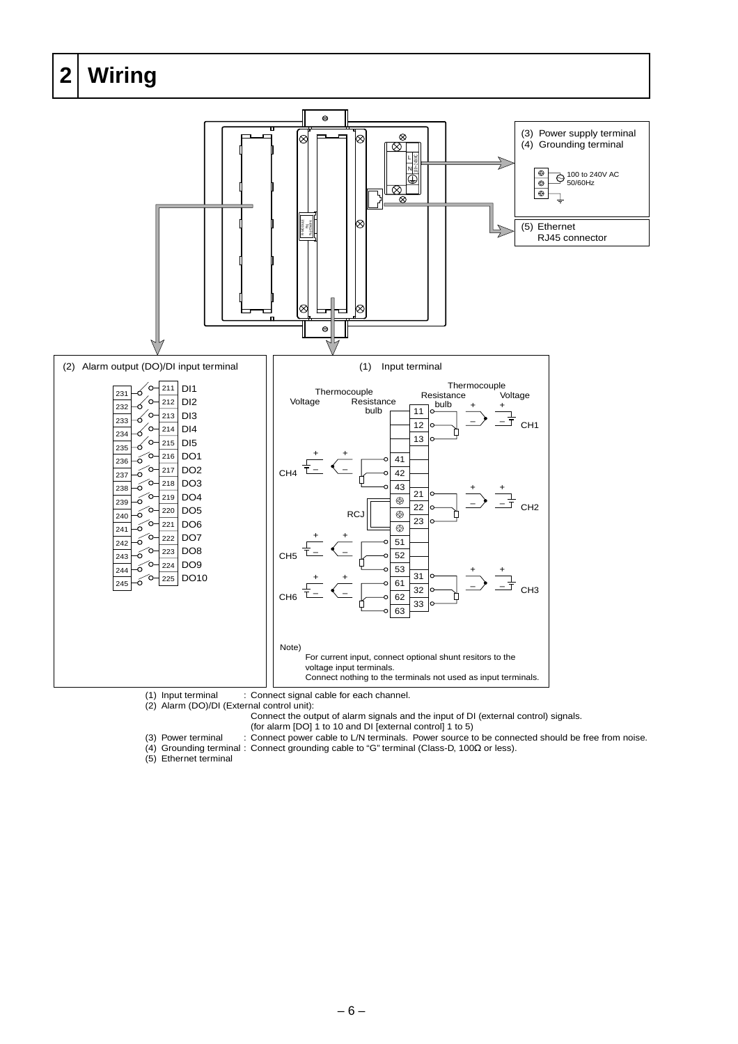<span id="page-5-0"></span>

(1) Input terminal : Connect signal cable for each channel.

(2) Alarm (DO)/DI (External control unit):

Connect the output of alarm signals and the input of DI (external control) signals.

(for alarm [DO] 1 to 10 and DI [external control] 1 to 5)

(3) Power terminal : Connect power cable to L/N terminals. Power source to be connected should be free from noise. (4) Grounding terminal : Connect grounding cable to "G" terminal (Class-D, 100Ω or less).

(5) Ethernet terminal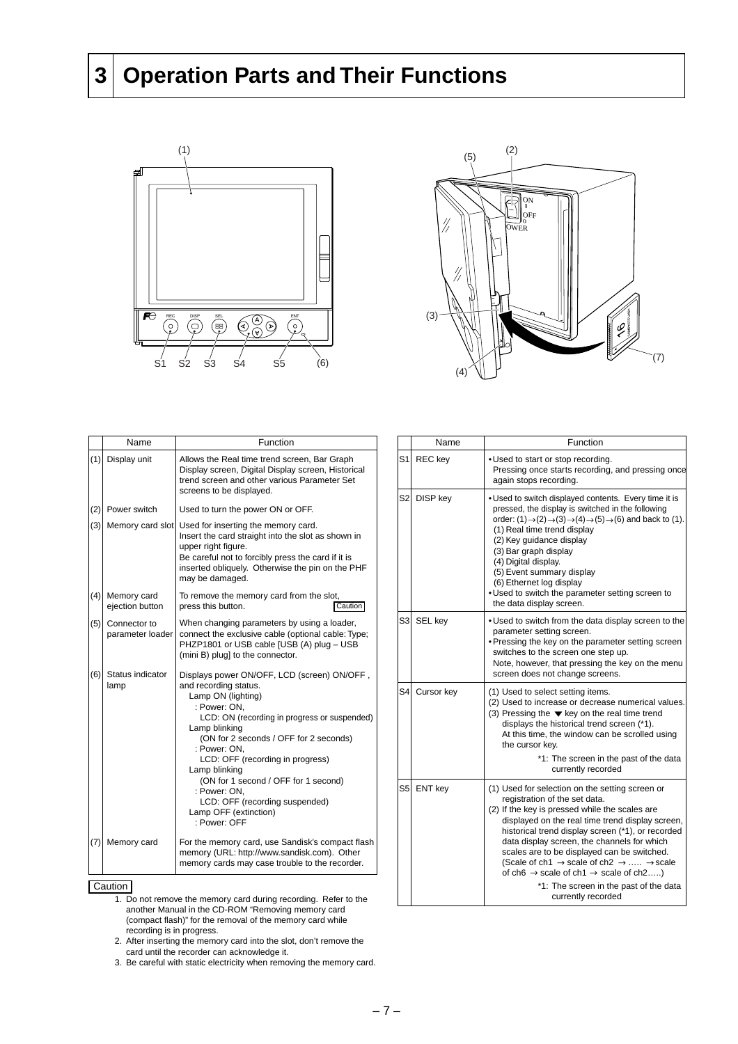### <span id="page-6-0"></span>**3 Operation Parts and Their Functions**





|            | Name                                                                                                                            | Function                                                                                                                                                                                                                                                                                                       |            | Name                                                                                                                                                             | Function                                                                                                                                                                                                                                                                                                                                                 |
|------------|---------------------------------------------------------------------------------------------------------------------------------|----------------------------------------------------------------------------------------------------------------------------------------------------------------------------------------------------------------------------------------------------------------------------------------------------------------|------------|------------------------------------------------------------------------------------------------------------------------------------------------------------------|----------------------------------------------------------------------------------------------------------------------------------------------------------------------------------------------------------------------------------------------------------------------------------------------------------------------------------------------------------|
| (1)        | Display unit                                                                                                                    | Allows the Real time trend screen, Bar Graph<br>Display screen, Digital Display screen, Historical<br>trend screen and other various Parameter Set                                                                                                                                                             |            | S1 REC key                                                                                                                                                       | . Used to start or stop recordir<br>Pressing once starts recordir<br>again stops recording.                                                                                                                                                                                                                                                              |
| (2)<br>(3) | Power switch<br>Memory card slot                                                                                                | screens to be displayed.<br>Used to turn the power ON or OFF.<br>Used for inserting the memory card.<br>Insert the card straight into the slot as shown in<br>upper right figure.<br>Be careful not to forcibly press the card if it is<br>inserted obliquely. Otherwise the pin on the PHF<br>may be damaged. |            | S2 DISP key                                                                                                                                                      | . Used to switch displayed cont<br>pressed, the display is switche<br>order: $(1) \rightarrow (2) \rightarrow (3) \rightarrow (4) \rightarrow (5)$<br>(1) Real time trend display<br>(2) Key guidance display<br>(3) Bar graph display<br>(4) Digital display.<br>(5) Event summary display<br>(6) Ethernet log display<br>. Used to switch the paramete |
| (4)        | Memory card<br>ejection button                                                                                                  | To remove the memory card from the slot,<br>Caution<br>press this button.                                                                                                                                                                                                                                      |            |                                                                                                                                                                  | the data display screen.                                                                                                                                                                                                                                                                                                                                 |
| (5)<br>(6) | Connector to<br>parameter loader<br>Status indicator                                                                            | When changing parameters by using a loader,<br>connect the exclusive cable (optional cable: Type;<br>PHZP1801 or USB cable [USB (A) plug - USB<br>(mini B) plug] to the connector.<br>Displays power ON/OFF, LCD (screen) ON/OFF,                                                                              |            | S3 SEL key                                                                                                                                                       | • Used to switch from the data<br>parameter setting screen.<br>• Pressing the key on the para<br>switches to the screen one s<br>Note, however, that pressing<br>screen does not change scre                                                                                                                                                             |
|            | and recording status.<br>lamp<br>: Power: ON,<br>Lamp blinking<br>: Power: ON.<br>Lamp blinking                                 | Lamp ON (lighting)<br>LCD: ON (recording in progress or suspended)<br>(ON for 2 seconds / OFF for 2 seconds)<br>LCD: OFF (recording in progress)                                                                                                                                                               | S4l        | Cursor key                                                                                                                                                       | (1) Used to select setting item<br>(2) Used to increase or decrea<br>(3) Pressing the $\blacktriangledown$ key on the<br>displays the historical tren<br>At this time, the window ca<br>the cursor kev.<br>*1: The screen ir<br>currently recc                                                                                                           |
|            | (ON for 1 second / OFF for 1 second)<br>: Power: ON,<br>LCD: OFF (recording suspended)<br>Lamp OFF (extinction)<br>: Power: OFF |                                                                                                                                                                                                                                                                                                                | S5 ENT key | (1) Used for selection on the s<br>registration of the set data<br>(2) If the key is pressed while<br>displayed on the real time<br>historical trend display scr |                                                                                                                                                                                                                                                                                                                                                          |
| (7)        | Memory card                                                                                                                     | For the memory card, use Sandisk's compact flash<br>memory (URL: http://www.sandisk.com). Other<br>memory cards may case trouble to the recorder.                                                                                                                                                              |            |                                                                                                                                                                  | data display screen, the ch<br>scales are to be displayed<br>(Scale of ch1 $\rightarrow$ scale of c<br>of ch6 $\rightarrow$ scale of ch1 $\rightarrow$ s                                                                                                                                                                                                 |

**Caution** 

- 1. Do not remove the memory card during recording. Refer to the another Manual in the CD-ROM "Removing memory card (compact flash)" for the removal of the memory card while recording is in progress.
- 2. After inserting the memory card into the slot, don't remove the card until the recorder can acknowledge it.
- 3. Be careful with static electricity when removing the memory card.

|                | Name       | Function                                                                                                                                                                                                                                                                                                                                                                                                                                                                                                                                                 |  |  |
|----------------|------------|----------------------------------------------------------------------------------------------------------------------------------------------------------------------------------------------------------------------------------------------------------------------------------------------------------------------------------------------------------------------------------------------------------------------------------------------------------------------------------------------------------------------------------------------------------|--|--|
| S1İ            | REC key    | . Used to start or stop recording.<br>Pressing once starts recording, and pressing once<br>again stops recording.                                                                                                                                                                                                                                                                                                                                                                                                                                        |  |  |
| S2l            | DISP key   | . Used to switch displayed contents. Every time it is<br>pressed, the display is switched in the following<br>order: $(1) \rightarrow (2) \rightarrow (3) \rightarrow (4) \rightarrow (5) \rightarrow (6)$ and back to (1).<br>(1) Real time trend display<br>(2) Key guidance display<br>(3) Bar graph display<br>(4) Digital display.<br>(5) Event summary display<br>(6) Ethernet log display<br>. Used to switch the parameter setting screen to<br>the data display screen.                                                                         |  |  |
| S3l            | SEL key    | . Used to switch from the data display screen to the<br>parameter setting screen.<br>• Pressing the key on the parameter setting screen<br>switches to the screen one step up.<br>Note, however, that pressing the key on the menu<br>screen does not change screens.                                                                                                                                                                                                                                                                                    |  |  |
| S <sub>4</sub> | Cursor key | (1) Used to select setting items.<br>(2) Used to increase or decrease numerical values.<br>(3) Pressing the $\blacktriangledown$ key on the real time trend<br>displays the historical trend screen (*1).<br>At this time, the window can be scrolled using<br>the cursor key.<br>*1: The screen in the past of the data<br>currently recorded                                                                                                                                                                                                           |  |  |
| S5l            | ENT key    | (1) Used for selection on the setting screen or<br>registration of the set data.<br>(2) If the key is pressed while the scales are<br>displayed on the real time trend display screen,<br>historical trend display screen (*1), or recorded<br>data display screen, the channels for which<br>scales are to be displayed can be switched.<br>(Scale of ch1 $\rightarrow$ scale of ch2 $\rightarrow$ $\rightarrow$ scale<br>of ch6 $\rightarrow$ scale of ch1 $\rightarrow$ scale of ch2)<br>*1: The screen in the past of the data<br>currently recorded |  |  |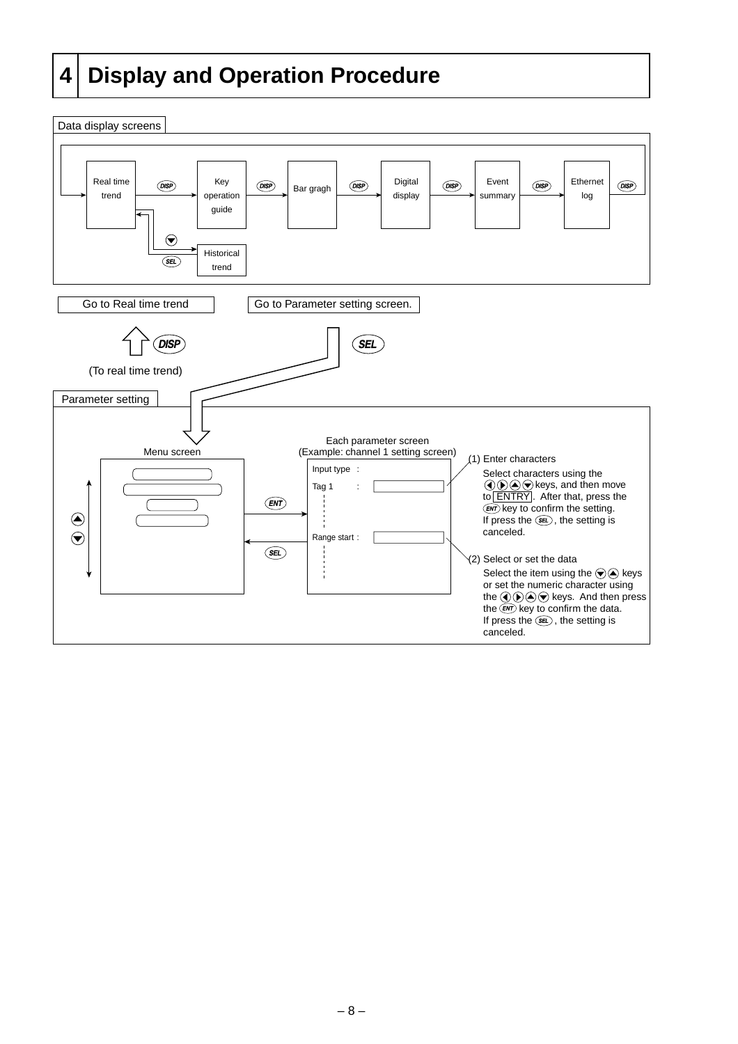### <span id="page-7-0"></span>**4 Display and Operation Procedure**

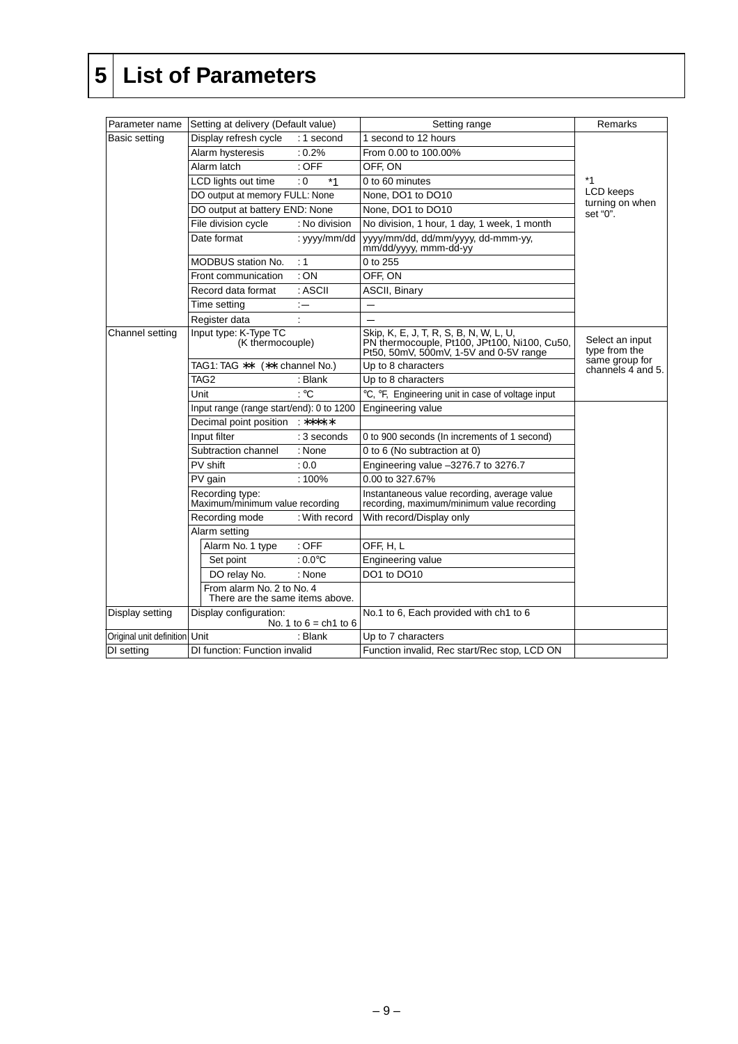### <span id="page-8-0"></span>**5 List of Parameters**

| Parameter name                | Setting at delivery (Default value)                          |                         | Setting range                                                                                                                    | Remarks                                               |
|-------------------------------|--------------------------------------------------------------|-------------------------|----------------------------------------------------------------------------------------------------------------------------------|-------------------------------------------------------|
| Basic setting                 | Display refresh cycle                                        | : 1 second              | 1 second to 12 hours                                                                                                             |                                                       |
|                               | Alarm hysteresis                                             | $: 0.2\%$               | From 0.00 to 100.00%                                                                                                             |                                                       |
|                               | Alarm latch<br>$:$ OFF                                       |                         | OFF, ON                                                                                                                          |                                                       |
|                               | LCD lights out time                                          | $*1$<br>: 0             | 0 to 60 minutes                                                                                                                  | *1<br><b>LCD</b> keeps<br>turning on when<br>set "0". |
|                               | DO output at memory FULL: None                               |                         | None, DO1 to DO10                                                                                                                |                                                       |
|                               | DO output at battery END: None                               |                         | None, DO1 to DO10                                                                                                                |                                                       |
|                               | File division cycle                                          | : No division           | No division, 1 hour, 1 day, 1 week, 1 month                                                                                      |                                                       |
|                               | Date format                                                  | : yyyy/mm/dd            | yyyy/mm/dd, dd/mm/yyyy, dd-mmm-yy,<br>mm/dd/yyyy, mmm-dd-yy                                                                      |                                                       |
|                               | MODBUS station No.                                           | : 1                     | 0 to 255                                                                                                                         |                                                       |
|                               | Front communication                                          | :ON                     | OFF, ON                                                                                                                          |                                                       |
|                               | Record data format                                           | : ASCII                 | <b>ASCII, Binary</b>                                                                                                             |                                                       |
|                               | Time setting                                                 | $:=$                    |                                                                                                                                  |                                                       |
|                               | Register data                                                |                         |                                                                                                                                  |                                                       |
| Channel setting               | Input type: K-Type TC<br>(K thermocouple)                    |                         | Skip, K, E, J, T, R, S, B, N, W, L, U,<br>PN thermocouple, Pt100, JPt100, Ni100, Cu50,<br>Pt50, 50mV, 500mV, 1-5V and 0-5V range | Select an input<br>type from the                      |
|                               | TAG1: TAG **                                                 | (**: channel No.)       | Up to 8 characters                                                                                                               | same group for<br>channels $\overline{4}$ and 5.      |
|                               | TAG <sub>2</sub>                                             | : Blank                 | Up to 8 characters                                                                                                               |                                                       |
|                               | Unit                                                         | $\cdot$ °C              | °C, °F, Engineering unit in case of voltage input                                                                                |                                                       |
|                               | Input range (range start/end): 0 to 1200                     |                         | Engineering value                                                                                                                |                                                       |
|                               | Decimal point position<br>*****                              |                         |                                                                                                                                  |                                                       |
|                               | Input filter                                                 | : 3 seconds             | 0 to 900 seconds (In increments of 1 second)                                                                                     |                                                       |
|                               | Subtraction channel                                          | : None                  | 0 to 6 (No subtraction at 0)                                                                                                     |                                                       |
|                               | PV shift                                                     | : 0.0                   | Engineering value -3276.7 to 3276.7                                                                                              |                                                       |
|                               | PV gain                                                      | $:100\%$                | 0.00 to 327.67%                                                                                                                  |                                                       |
|                               | Recording type:<br>Maximum/minimum value recording           |                         | Instantaneous value recording, average value<br>recording, maximum/minimum value recording                                       |                                                       |
|                               | Recording mode                                               | : With record           | With record/Display only                                                                                                         |                                                       |
|                               | Alarm setting                                                |                         |                                                                                                                                  |                                                       |
|                               | Alarm No. 1 type                                             | $:$ OFF                 | OFF, H, L                                                                                                                        |                                                       |
|                               | Set point                                                    | $:0.0^{\circ}$ C        | Engineering value                                                                                                                |                                                       |
|                               | DO relay No.                                                 | : None                  | DO1 to DO10                                                                                                                      |                                                       |
|                               | From alarm No. 2 to No. 4<br>There are the same items above. |                         |                                                                                                                                  |                                                       |
| Display setting               | Display configuration:                                       | No. 1 to $6 = ch1$ to 6 | No.1 to 6, Each provided with ch1 to 6                                                                                           |                                                       |
| Original unit definition Unit |                                                              | : Blank                 | Up to 7 characters                                                                                                               |                                                       |
| DI setting                    | DI function: Function invalid                                |                         | Function invalid, Rec start/Rec stop, LCD ON                                                                                     |                                                       |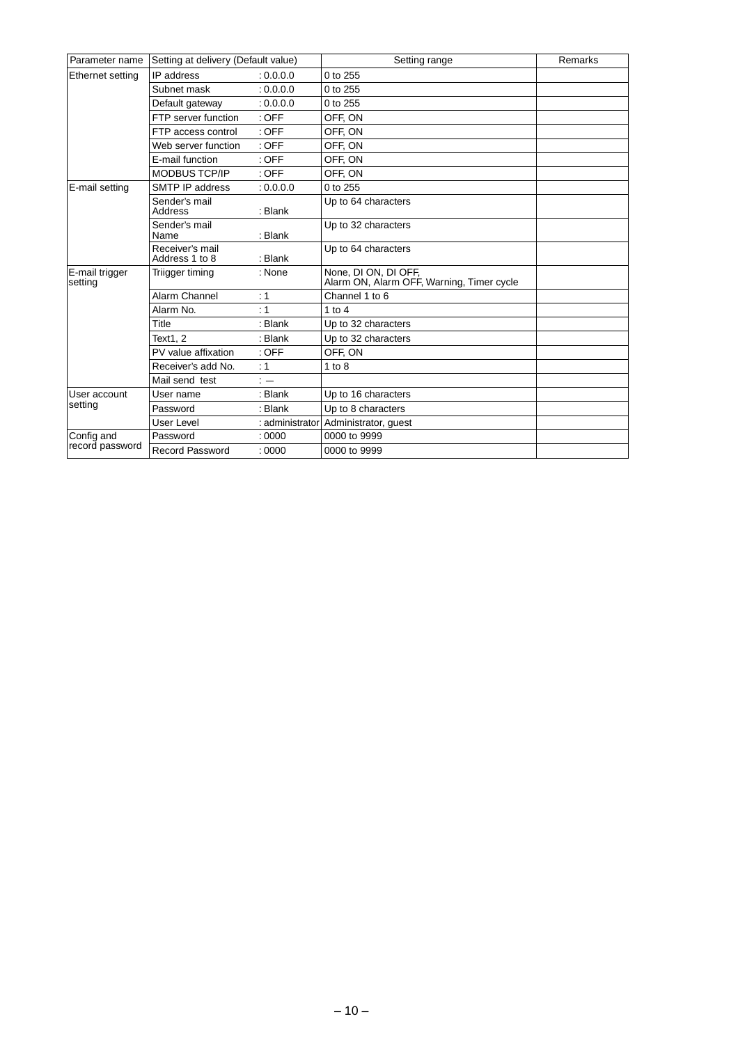| Setting at delivery (Default value)<br>Parameter name |                                   | Setting range   | Remarks                                                           |  |
|-------------------------------------------------------|-----------------------------------|-----------------|-------------------------------------------------------------------|--|
| Ethernet setting                                      | IP address                        | : 0.0.0.0       | 0 to 255                                                          |  |
|                                                       | Subnet mask                       | : 0.0.0.0       | 0 to 255                                                          |  |
|                                                       | Default gateway                   | : 0.0.0.0       | 0 to 255                                                          |  |
|                                                       | FTP server function               | $:$ OFF         | OFF, ON                                                           |  |
|                                                       | FTP access control                | $:$ OFF         | OFF, ON                                                           |  |
|                                                       | Web server function               | $:$ OFF         | OFF. ON                                                           |  |
|                                                       | E-mail function                   | $:$ OFF         | OFF, ON                                                           |  |
|                                                       | <b>MODBUS TCP/IP</b>              | $:$ OFF         | OFF, ON                                                           |  |
| E-mail setting                                        | SMTP IP address                   | : 0.0.0.0       | 0 to 255                                                          |  |
|                                                       | Sender's mail<br>Address          | : Blank         | Up to 64 characters                                               |  |
|                                                       | Sender's mail<br>Name             | : Blank         | Up to 32 characters                                               |  |
|                                                       | Receiver's mail<br>Address 1 to 8 | : Blank         | Up to 64 characters                                               |  |
| E-mail trigger<br>setting                             | Triigger timing                   | : None          | None, DI ON, DI OFF,<br>Alarm ON, Alarm OFF, Warning, Timer cycle |  |
|                                                       | Alarm Channel                     | : 1             | Channel 1 to 6                                                    |  |
|                                                       | Alarm No.                         | : 1             | 1 to $4$                                                          |  |
|                                                       | Title                             | : Blank         | Up to 32 characters                                               |  |
|                                                       | Text1.2                           | : Blank         | Up to 32 characters                                               |  |
|                                                       | PV value affixation               | $:$ OFF         | OFF, ON                                                           |  |
|                                                       | Receiver's add No.                | : 1             | $1$ to $8$                                                        |  |
|                                                       | Mail send test                    | $\cdot$ $-$     |                                                                   |  |
| User account                                          | User name                         | : Blank         | Up to 16 characters                                               |  |
| setting                                               | Password                          | : Blank         | Up to 8 characters                                                |  |
|                                                       | <b>User Level</b>                 | : administrator | Administrator, guest                                              |  |
| Config and                                            | Password                          | :0000           | 0000 to 9999                                                      |  |
| record password                                       | <b>Record Password</b>            | :0000           | 0000 to 9999                                                      |  |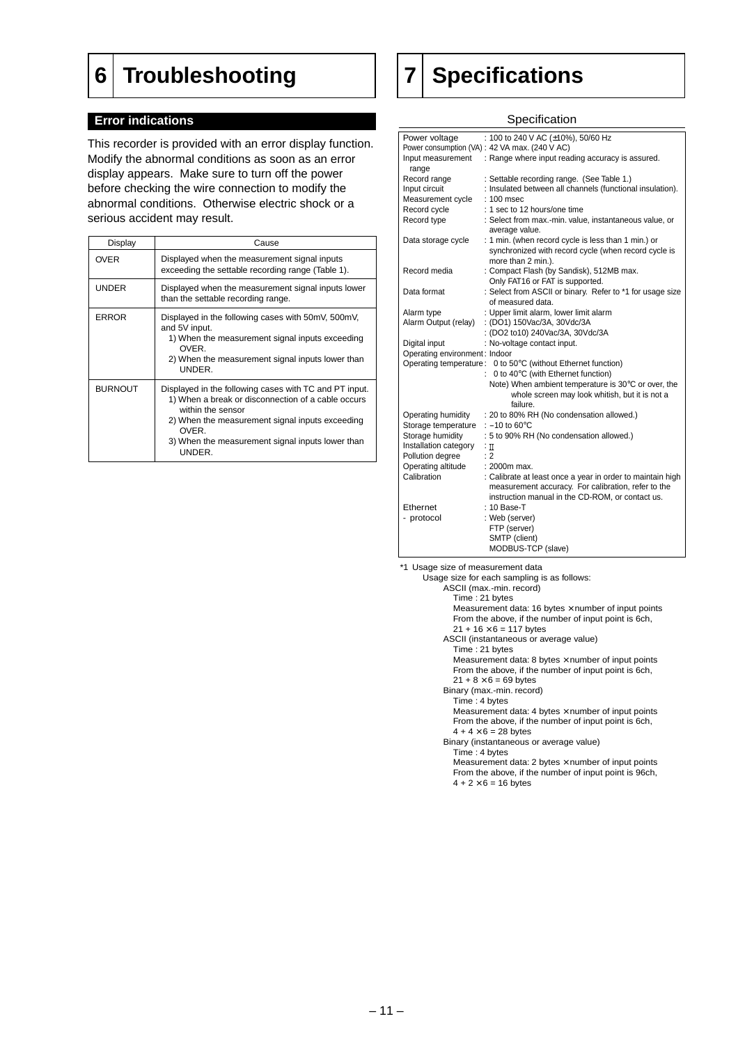### <span id="page-10-0"></span>**6 Troubleshooting**

#### **Error indications**

This recorder is provided with an error display function. Modify the abnormal conditions as soon as an error display appears. Make sure to turn off the power before checking the wire connection to modify the abnormal conditions. Otherwise electric shock or a serious accident may result.

| Display        | Cause                                                                                                                                                                                                                                                       |
|----------------|-------------------------------------------------------------------------------------------------------------------------------------------------------------------------------------------------------------------------------------------------------------|
| <b>OVER</b>    | Displayed when the measurement signal inputs<br>exceeding the settable recording range (Table 1).                                                                                                                                                           |
| <b>UNDER</b>   | Displayed when the measurement signal inputs lower<br>than the settable recording range.                                                                                                                                                                    |
| <b>ERROR</b>   | Displayed in the following cases with 50mV, 500mV,<br>and 5V input.<br>1) When the measurement signal inputs exceeding<br><b>OVER</b><br>2) When the measurement signal inputs lower than<br>UNDER.                                                         |
| <b>BURNOUT</b> | Displayed in the following cases with TC and PT input.<br>1) When a break or disconnection of a cable occurs<br>within the sensor<br>2) When the measurement signal inputs exceeding<br>OVER.<br>3) When the measurement signal inputs lower than<br>UNDER. |

### **7 Specifications**

#### **Specification**

| Power voltage                 | : 100 to 240 V AC (±10%), 50/60 Hz                                                                                                |
|-------------------------------|-----------------------------------------------------------------------------------------------------------------------------------|
|                               | Power consumption (VA) : 42 VA max. (240 V AC)                                                                                    |
| Input measurement<br>range    | : Range where input reading accuracy is assured.                                                                                  |
| Record range                  | : Settable recording range. (See Table 1.)                                                                                        |
| Input circuit                 | : Insulated between all channels (functional insulation).                                                                         |
| Measurement cycle             | : 100 msec                                                                                                                        |
| Record cycle                  | : 1 sec to 12 hours/one time                                                                                                      |
| Record type                   | : Select from max.-min. value, instantaneous value, or<br>average value.                                                          |
| Data storage cycle            | : 1 min. (when record cycle is less than 1 min.) or<br>synchronized with record cycle (when record cycle is<br>more than 2 min.). |
| Record media                  | : Compact Flash (by Sandisk), 512MB max.<br>Only FAT16 or FAT is supported.                                                       |
| Data format                   | : Select from ASCII or binary. Refer to *1 for usage size                                                                         |
|                               | of measured data.                                                                                                                 |
| Alarm type                    | : Upper limit alarm, lower limit alarm                                                                                            |
| Alarm Output (relay)          | : (DO1) 150Vac/3A, 30Vdc/3A                                                                                                       |
|                               | : (DO2 to10) 240Vac/3A, 30Vdc/3A                                                                                                  |
| Digital input                 | : No-voltage contact input.                                                                                                       |
| Operating environment: Indoor |                                                                                                                                   |
|                               | Operating temperature: 0 to 50°C (without Ethernet function)                                                                      |
|                               | 0 to 40°C (with Ethernet function)<br>۰                                                                                           |
|                               | Note) When ambient temperature is 30°C or over, the<br>whole screen may look whitish, but it is not a<br>failure.                 |
| Operating humidity            | : 20 to 80% RH (No condensation allowed.)                                                                                         |
| Storage temperature           | : $-10$ to 60 $^{\circ}$ C                                                                                                        |
| Storage humidity              | : 5 to 90% RH (No condensation allowed.)                                                                                          |
| Installation category         | $:\mathbb{I}$                                                                                                                     |
| Pollution degree              | : 2                                                                                                                               |
| Operating altitude            | $: 2000m$ max.                                                                                                                    |
| Calibration                   | : Calibrate at least once a year in order to maintain high                                                                        |
|                               | measurement accuracy. For calibration, refer to the                                                                               |
|                               | instruction manual in the CD-ROM, or contact us.                                                                                  |
| Ethernet                      | : 10 Base-T                                                                                                                       |
| - protocol                    | : Web (server)                                                                                                                    |
|                               | FTP (server)                                                                                                                      |
|                               | SMTP (client)                                                                                                                     |
|                               | MODBUS-TCP (slave)                                                                                                                |

\*1 Usage size of measurement data

Usage size for each sampling is as follows:

ASCII (max.-min. record)

Time : 21 bytes Measurement data: 16 bytes  $\times$  number of input points

From the above, if the number of input point is 6ch,  $21 + 16 \times 6 = 117$  bytes

ASCII (instantaneous or average value)

Time : 21 bytes Measurement data: 8 bytes  $\times$  number of input points From the above, if the number of input point is 6ch,

#### $21 + 8 \times 6 = 69$  bytes

Binary (max.-min. record)

#### Time : 4 bytes

Measurement data: 4 bytes  $\times$  number of input points From the above, if the number of input point is 6ch,  $4 + 4 \times 6 = 28$  bytes

Binary (instantaneous or average value)

Time : 4 bytes

Measurement data: 2 bytes  $\times$  number of input points From the above, if the number of input point is 96ch,  $4 + 2 \times 6 = 16$  bytes